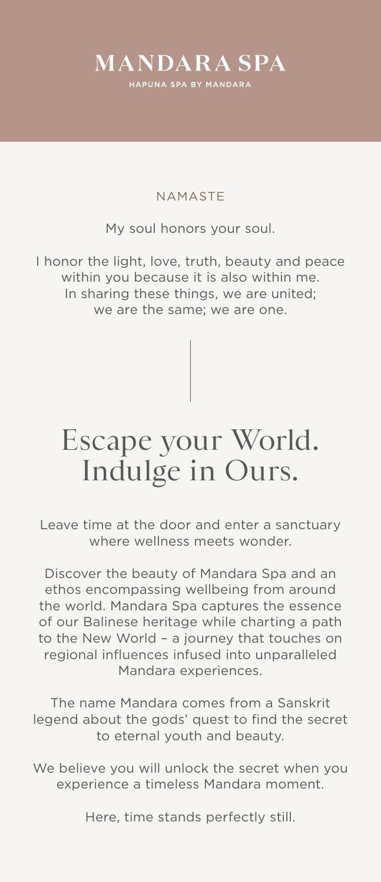### **MANDARA SPA**

HAPUNA SPA BY MANDARA

### Escape your World. Indulge in Ours.

Leave time at the door and enter a sanctuary where wellness meets wonder.

Discover the beauty of Mandara Spa and an ethos encompassing wellbeing from around the world. Mandara Spa captures the essence of our Balinese heritage while charting a path to the New World – a journey that touches on regional influences infused into unparalleled Mandara experiences.

We believe you will unlock the secret when you experience a timeless Mandara moment.

The name Mandara comes from a Sanskrit legend about the gods' quest to find the secret to eternal youth and beauty.

Here, time stands perfectly still.

### NAMASTE

### My soul honors your soul.

I honor the light, love, truth, beauty and peace within you because it is also within me. In sharing these things, we are united; we are the same; we are one.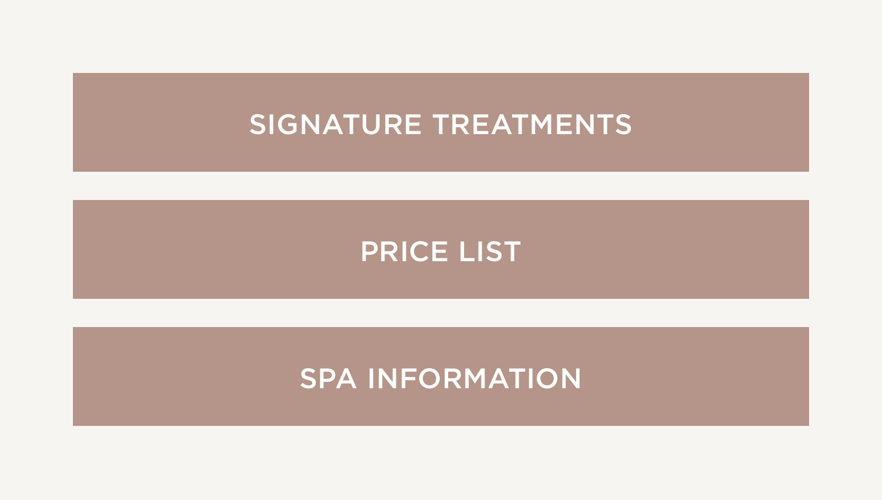#### [SIGNATURE TREATMENTS](#page-2-0)

#### [PRICE LIST](#page-3-0)

#### <span id="page-1-2"></span><span id="page-1-1"></span><span id="page-1-0"></span>[SPA INFORMATION](#page-4-0)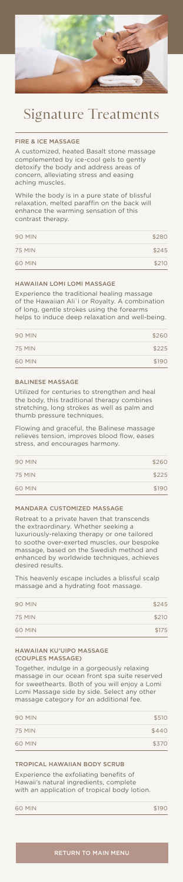<span id="page-2-0"></span>

## Signature Treatments

### FIRE & ICE MASSAGE

A customized, heated Basalt stone massage complemented by ice-cool gels to gently detoxify the body and address areas of concern, alleviating stress and easing aching muscles.

| <b>90 MIN</b> | \$280 |
|---------------|-------|
| <b>75 MIN</b> | \$245 |
| 60 MIN        | \$210 |

While the body is in a pure state of blissful relaxation, melted paraffin on the back will enhance the warming sensation of this contrast therapy.

### HAWAIIAN LOMI LOMI MASSAGE

Experience the traditional healing massage of the Hawaiian Ali`i or Royalty. A combination of long, gentle strokes using the forearms helps to induce deep relaxation and well-being.

| <b>90 MIN</b> | \$260 |
|---------------|-------|
| <b>75 MIN</b> | \$225 |
| 60 MIN        | \$190 |

### BALINESE MASSAGE

Utilized for centuries to strengthen and heal the body, this traditional therapy combines stretching, long strokes as well as palm and thumb pressure techniques.

Experience the exfoliating benefits of Hawaii's natural ingredients, complete with an application of tropical body lotion.

|  | 60 MIN |  | \$190 |
|--|--------|--|-------|
|--|--------|--|-------|

Flowing and graceful, the Balinese massage relieves tension, improves blood flow, eases

stress, and encourages harmony.

| <b>90 MIN</b> | \$260 |
|---------------|-------|
| <b>75 MIN</b> | \$225 |
| <b>60 MIN</b> | \$190 |

### MANDARA CUSTOMIZED MASSAGE

Retreat to a private haven that transcends the extraordinary. Whether seeking a luxuriously-relaxing therapy or one tailored to soothe over-exerted muscles, our bespoke massage, based on the Swedish method and enhanced by worldwide techniques, achieves desired results.

This heavenly escape includes a blissful scalp massage and a hydrating foot massage.

| <b>90 MIN</b> | \$245 |
|---------------|-------|
| <b>75 MIN</b> | \$210 |
| 60 MIN        | \$175 |

### HAWAIIAN KU'UIPO MASSAGE (COUPLES MASSAGE)

Together, indulge in a gorgeously relaxing massage in our ocean front spa suite reserved for sweethearts. Both of you will enjoy a Lomi Lomi Massage side by side. Select any other massage category for an additional fee.

| <b>90 MIN</b> | \$510 |
|---------------|-------|
| <b>75 MIN</b> | \$440 |
| <b>60 MIN</b> | \$370 |

### TROPICAL HAWAIIAN BODY SCRUB

### [RETURN TO MAIN MENU](#page-1-0)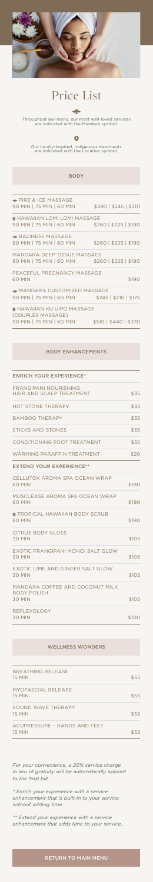<span id="page-3-0"></span>

# Price List



Throughout our menu, our most well-loved services are indicated with the Mandara symbol.

### Our locally-inspired, indigenous treatments are indicated with the Location symbol.

**BODY** 

*For your convenience, a 20% service charge in lieu of gratuity will be automatically applied to the final bill.*

*\* Enrich your experience with a service enhancement that is built-in to your service without adding time.*

*\*\* Extend your experience with a service enhancement that adds time to your service.*

[RETURN TO MAIN MENU](#page-1-1)

90 MIN | 75 MIN | 60 MIN \$260 | \$225 | \$190

**\* FIRE & ICE MASSAGE** 90 MIN | 75 MIN | 60 MIN \$280 | \$245 | \$210

**O HAWAIIAN LOMI LOMI MASSAGE** 

| <b>BREATHING RELEASE</b><br><b>15 MIN</b>     | \$55 |
|-----------------------------------------------|------|
| MYOFASCIAL RELEASE<br><b>15 MIN</b>           | \$55 |
| SOUND WAVE THERAPY<br><b>15 MIN</b>           | \$55 |
| ACUPRESSURE - HANDS AND FEET<br><b>15 MIN</b> | \$55 |

| ← BALINESE MASSAGE<br>90 MIN   75 MIN   60 MIN                                     | $$260 \mid $225 \mid $190$ |
|------------------------------------------------------------------------------------|----------------------------|
| MANDARA DEEP TISSUE MASSAGE<br>90 MIN   75 MIN   60 MIN                            | $$260 \mid $225 \mid $190$ |
| PEACEFUL PREGNANCY MASSAGE<br><b>60 MIN</b>                                        | \$190                      |
| ← MANDARA CUSTOMIZED MASSAGE<br>90 MIN   75 MIN   60 MIN                           | $$245 \mid $210 \mid $175$ |
| <b>O HAWAIIAN KU'UIPO MASSAGE</b><br>(COUPLES MASSAGE)<br>90 MIN   75 MIN   60 MIN | \$510   \$440   \$370      |
|                                                                                    |                            |
| <b>BODY ENHANCEMENTS</b>                                                           |                            |
|                                                                                    |                            |
| <b>ENRICH YOUR EXPERIENCE*</b>                                                     |                            |
| FRANGIPANI NOURISHING<br><b>HAIR AND SCALP TREATMENT</b>                           | \$35                       |
| <b>HOT STONE THERAPY</b>                                                           | \$35                       |
| <b>BAMBOO THERAPY</b>                                                              | \$35                       |
| <b>STICKS AND STONES</b>                                                           | \$35                       |
| CONDITIONING FOOT TREATMENT                                                        | \$35                       |
| <b>WARMING PARAFFIN TREATMENT</b>                                                  | \$20                       |
| <b>EXTEND YOUR EXPERIENCE**</b>                                                    |                            |
| CELLUTOX AROMA SPA OCEAN WRAP<br><b>60 MIN</b>                                     | \$190                      |
| MUSCLEASE AROMA SPA OCEAN WRAP<br>60 MIN                                           | \$190                      |
| <b>O TROPICAL HAWAIIAN BODY SCRUB</b><br><b>60 MIN</b>                             | \$190                      |
| <b>CITRUS BODY GLOSS</b><br><b>30 MIN</b>                                          | \$105                      |
| EXOTIC FRANGIPANI MONOI SALT GLOW<br><b>30 MIN</b>                                 | \$105                      |
| EXOTIC LIME AND GINGER SALT GLOW<br><b>30 MIN</b>                                  | \$105                      |
| MANDARA COFFEE AND COCONUT MILK<br><b>BODY POLISH</b><br><b>30 MIN</b>             | \$105                      |
| REFLEXOLOGY                                                                        |                            |
| 30 MIN                                                                             | <b>\$100</b>               |

WELLNESS WONDERS